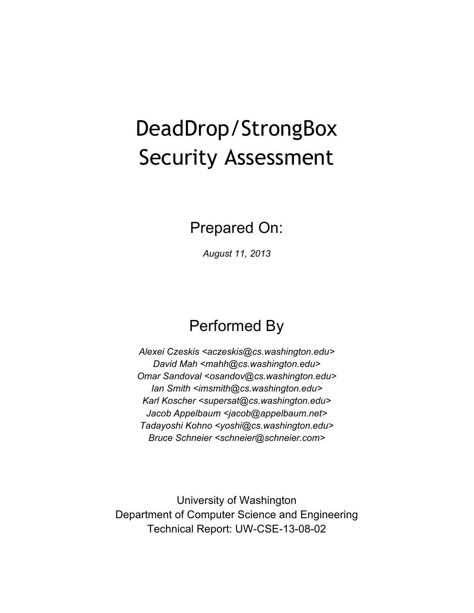# DeadDrop/StrongBox Security Assessment

Prepared On:

*August 11, 2013*

# Performed By

*Alexei Czeskis <aczeskis@cs.washington.edu> David Mah <mahh@cs.washington.edu> Omar Sandoval <osandov@cs.washington.edu> Ian Smith <imsmith@cs.washington.edu> Karl Koscher <supersat@cs.washington.edu> Jacob Appelbaum <jacob@appelbaum.net> Tadayoshi Kohno <yoshi@cs.washington.edu> Bruce Schneier <schneier@schneier.com>*

University of Washington Department of Computer Science and Engineering Technical Report: UW-CSE-13-08-02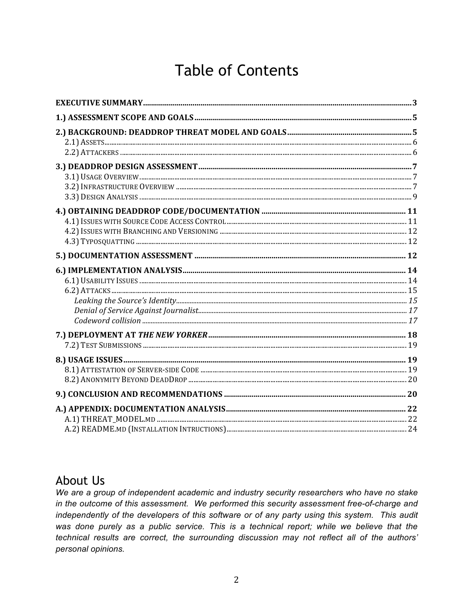## **Table of Contents**

### **About Us**

We are a group of independent academic and industry security researchers who have no stake in the outcome of this assessment. We performed this security assessment free-of-charge and independently of the developers of this software or of any party using this system. This audit was done purely as a public service. This is a technical report; while we believe that the technical results are correct, the surrounding discussion may not reflect all of the authors' personal opinions.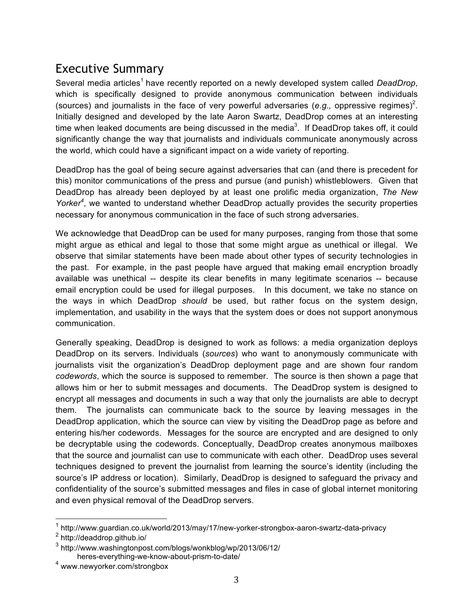### Executive Summary

Several media articles<sup>1</sup> have recently reported on a newly developed system called *DeadDrop*, which is specifically designed to provide anonymous communication between individuals (sources) and journalists in the face of very powerful adversaries (e.g., oppressive regimes)<sup>2</sup>. Initially designed and developed by the late Aaron Swartz, DeadDrop comes at an interesting time when leaked documents are being discussed in the media<sup>3</sup>. If DeadDrop takes off, it could significantly change the way that journalists and individuals communicate anonymously across the world, which could have a significant impact on a wide variety of reporting.

DeadDrop has the goal of being secure against adversaries that can (and there is precedent for this) monitor communications of the press and pursue (and punish) whistleblowers. Given that DeadDrop has already been deployed by at least one prolific media organization, *The New*  Yorker<sup>4</sup>, we wanted to understand whether DeadDrop actually provides the security properties necessary for anonymous communication in the face of such strong adversaries.

We acknowledge that DeadDrop can be used for many purposes, ranging from those that some might argue as ethical and legal to those that some might argue as unethical or illegal. We observe that similar statements have been made about other types of security technologies in the past. For example, in the past people have argued that making email encryption broadly available was unethical -- despite its clear benefits in many legitimate scenarios -- because email encryption could be used for illegal purposes. In this document, we take no stance on the ways in which DeadDrop *should* be used, but rather focus on the system design, implementation, and usability in the ways that the system does or does not support anonymous communication.

Generally speaking, DeadDrop is designed to work as follows: a media organization deploys DeadDrop on its servers. Individuals (*sources*) who want to anonymously communicate with journalists visit the organization's DeadDrop deployment page and are shown four random *codewords*, which the source is supposed to remember. The source is then shown a page that allows him or her to submit messages and documents. The DeadDrop system is designed to encrypt all messages and documents in such a way that only the journalists are able to decrypt them. The journalists can communicate back to the source by leaving messages in the DeadDrop application, which the source can view by visiting the DeadDrop page as before and entering his/her codewords. Messages for the source are encrypted and are designed to only be decryptable using the codewords. Conceptually, DeadDrop creates anonymous mailboxes that the source and journalist can use to communicate with each other. DeadDrop uses several techniques designed to prevent the journalist from learning the source's identity (including the source's IP address or location). Similarly, DeadDrop is designed to safeguard the privacy and confidentiality of the source's submitted messages and files in case of global internet monitoring and even physical removal of the DeadDrop servers.

<sup>&</sup>lt;sup>1</sup> http://www.guardian.co.uk/world/2013/may/17/new-yorker-strongbox-aaron-swartz-data-privacy

<sup>2</sup> http://deaddrop.github.io/

<sup>3</sup> http://www.washingtonpost.com/blogs/wonkblog/wp/2013/06/12/

heres-everything-we-know-about-prism-to-date/

<sup>4</sup> www.newyorker.com/strongbox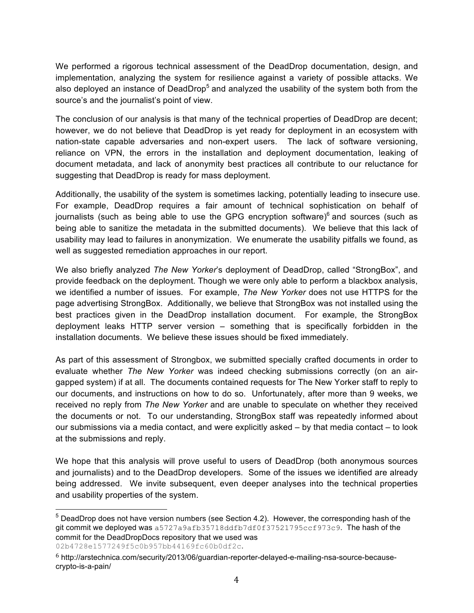We performed a rigorous technical assessment of the DeadDrop documentation, design, and implementation, analyzing the system for resilience against a variety of possible attacks. We also deployed an instance of DeadDrop<sup>5</sup> and analyzed the usability of the system both from the source's and the journalist's point of view.

The conclusion of our analysis is that many of the technical properties of DeadDrop are decent; however, we do not believe that DeadDrop is yet ready for deployment in an ecosystem with nation-state capable adversaries and non-expert users. The lack of software versioning, reliance on VPN, the errors in the installation and deployment documentation, leaking of document metadata, and lack of anonymity best practices all contribute to our reluctance for suggesting that DeadDrop is ready for mass deployment.

Additionally, the usability of the system is sometimes lacking, potentially leading to insecure use. For example, DeadDrop requires a fair amount of technical sophistication on behalf of journalists (such as being able to use the GPG encryption software) $6$  and sources (such as being able to sanitize the metadata in the submitted documents). We believe that this lack of usability may lead to failures in anonymization. We enumerate the usability pitfalls we found, as well as suggested remediation approaches in our report.

We also briefly analyzed *The New Yorker*'s deployment of DeadDrop, called "StrongBox", and provide feedback on the deployment. Though we were only able to perform a blackbox analysis, we identified a number of issues. For example, *The New Yorker* does not use HTTPS for the page advertising StrongBox. Additionally, we believe that StrongBox was not installed using the best practices given in the DeadDrop installation document. For example, the StrongBox deployment leaks HTTP server version – something that is specifically forbidden in the installation documents. We believe these issues should be fixed immediately.

As part of this assessment of Strongbox, we submitted specially crafted documents in order to evaluate whether *The New Yorker* was indeed checking submissions correctly (on an airgapped system) if at all. The documents contained requests for The New Yorker staff to reply to our documents, and instructions on how to do so. Unfortunately, after more than 9 weeks, we received no reply from *The New Yorker* and are unable to speculate on whether they received the documents or not. To our understanding, StrongBox staff was repeatedly informed about our submissions via a media contact, and were explicitly asked – by that media contact – to look at the submissions and reply.

We hope that this analysis will prove useful to users of DeadDrop (both anonymous sources and journalists) and to the DeadDrop developers. Some of the issues we identified are already being addressed. We invite subsequent, even deeper analyses into the technical properties and usability properties of the system.

 

 $5$  DeadDrop does not have version numbers (see Section 4.2). However, the corresponding hash of the git commit we deployed was a5727a9afb35718ddfb7df0f37521795ccf973c9. The hash of the commit for the DeadDropDocs repository that we used was 02b4728e1577249f5c0b957bb44169fc60b0df2c.

<sup>6</sup> http://arstechnica.com/security/2013/06/guardian-reporter-delayed-e-mailing-nsa-source-becausecrypto-is-a-pain/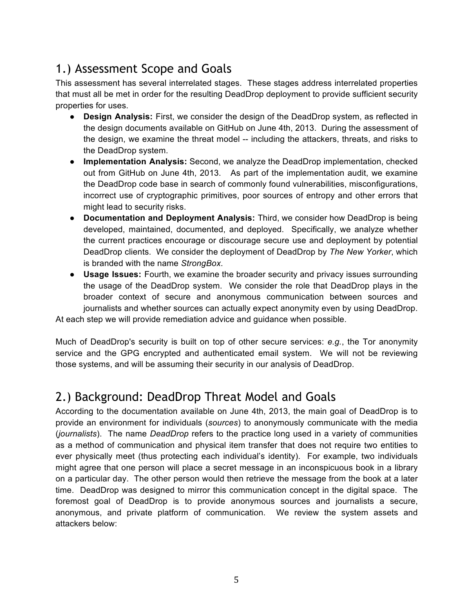### 1.) Assessment Scope and Goals

This assessment has several interrelated stages. These stages address interrelated properties that must all be met in order for the resulting DeadDrop deployment to provide sufficient security properties for uses.

- **Design Analysis:** First, we consider the design of the DeadDrop system, as reflected in the design documents available on GitHub on June 4th, 2013. During the assessment of the design, we examine the threat model -- including the attackers, threats, and risks to the DeadDrop system.
- **Implementation Analysis:** Second, we analyze the DeadDrop implementation, checked out from GitHub on June 4th, 2013. As part of the implementation audit, we examine the DeadDrop code base in search of commonly found vulnerabilities, misconfigurations, incorrect use of cryptographic primitives, poor sources of entropy and other errors that might lead to security risks.
- **Documentation and Deployment Analysis:** Third, we consider how DeadDrop is being developed, maintained, documented, and deployed. Specifically, we analyze whether the current practices encourage or discourage secure use and deployment by potential DeadDrop clients. We consider the deployment of DeadDrop by *The New Yorker*, which is branded with the name *StrongBox*.
- **Usage Issues:** Fourth, we examine the broader security and privacy issues surrounding the usage of the DeadDrop system. We consider the role that DeadDrop plays in the broader context of secure and anonymous communication between sources and journalists and whether sources can actually expect anonymity even by using DeadDrop.

At each step we will provide remediation advice and guidance when possible.

Much of DeadDrop's security is built on top of other secure services: *e.g.*, the Tor anonymity service and the GPG encrypted and authenticated email system. We will not be reviewing those systems, and will be assuming their security in our analysis of DeadDrop.

### 2.) Background: DeadDrop Threat Model and Goals

According to the documentation available on June 4th, 2013, the main goal of DeadDrop is to provide an environment for individuals (*sources*) to anonymously communicate with the media (*journalists*). The name *DeadDrop* refers to the practice long used in a variety of communities as a method of communication and physical item transfer that does not require two entities to ever physically meet (thus protecting each individual's identity). For example, two individuals might agree that one person will place a secret message in an inconspicuous book in a library on a particular day. The other person would then retrieve the message from the book at a later time. DeadDrop was designed to mirror this communication concept in the digital space. The foremost goal of DeadDrop is to provide anonymous sources and journalists a secure, anonymous, and private platform of communication. We review the system assets and attackers below: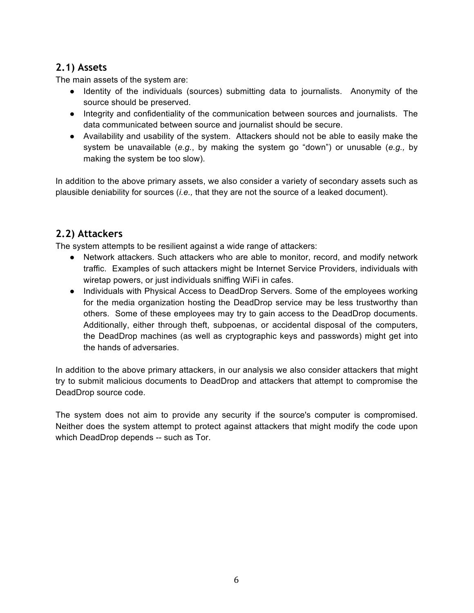#### **2.1) Assets**

The main assets of the system are:

- Identity of the individuals (sources) submitting data to journalists. Anonymity of the source should be preserved.
- Integrity and confidentiality of the communication between sources and journalists. The data communicated between source and journalist should be secure.
- Availability and usability of the system. Attackers should not be able to easily make the system be unavailable (*e.g.*, by making the system go "down") or unusable (*e.g.,* by making the system be too slow).

In addition to the above primary assets, we also consider a variety of secondary assets such as plausible deniability for sources (*i.e.,* that they are not the source of a leaked document).

#### **2.2) Attackers**

The system attempts to be resilient against a wide range of attackers:

- Network attackers. Such attackers who are able to monitor, record, and modify network traffic. Examples of such attackers might be Internet Service Providers, individuals with wiretap powers, or just individuals sniffing WiFi in cafes.
- Individuals with Physical Access to DeadDrop Servers. Some of the employees working for the media organization hosting the DeadDrop service may be less trustworthy than others. Some of these employees may try to gain access to the DeadDrop documents. Additionally, either through theft, subpoenas, or accidental disposal of the computers, the DeadDrop machines (as well as cryptographic keys and passwords) might get into the hands of adversaries.

In addition to the above primary attackers, in our analysis we also consider attackers that might try to submit malicious documents to DeadDrop and attackers that attempt to compromise the DeadDrop source code.

The system does not aim to provide any security if the source's computer is compromised. Neither does the system attempt to protect against attackers that might modify the code upon which DeadDrop depends -- such as Tor.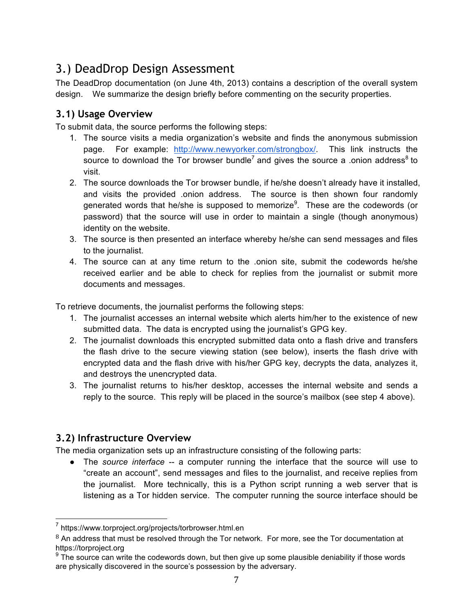### 3.) DeadDrop Design Assessment

The DeadDrop documentation (on June 4th, 2013) contains a description of the overall system design. We summarize the design briefly before commenting on the security properties.

#### **3.1) Usage Overview**

To submit data, the source performs the following steps:

- 1. The source visits a media organization's website and finds the anonymous submission page. For example: http://www.newyorker.com/strongbox/. This link instructs the source to download the Tor browser bundle<sup>7</sup> and gives the source a .onion address<sup>8</sup> to visit.
- 2. The source downloads the Tor browser bundle, if he/she doesn't already have it installed, and visits the provided .onion address. The source is then shown four randomly generated words that he/she is supposed to memorize<sup>9</sup>. These are the codewords (or password) that the source will use in order to maintain a single (though anonymous) identity on the website.
- 3. The source is then presented an interface whereby he/she can send messages and files to the journalist.
- 4. The source can at any time return to the .onion site, submit the codewords he/she received earlier and be able to check for replies from the journalist or submit more documents and messages.

To retrieve documents, the journalist performs the following steps:

- 1. The journalist accesses an internal website which alerts him/her to the existence of new submitted data. The data is encrypted using the journalist's GPG key.
- 2. The journalist downloads this encrypted submitted data onto a flash drive and transfers the flash drive to the secure viewing station (see below), inserts the flash drive with encrypted data and the flash drive with his/her GPG key, decrypts the data, analyzes it, and destroys the unencrypted data.
- 3. The journalist returns to his/her desktop, accesses the internal website and sends a reply to the source. This reply will be placed in the source's mailbox (see step 4 above).

#### **3.2) Infrastructure Overview**

The media organization sets up an infrastructure consisting of the following parts:

● The *source interface* -- a computer running the interface that the source will use to "create an account", send messages and files to the journalist, and receive replies from the journalist. More technically, this is a Python script running a web server that is listening as a Tor hidden service. The computer running the source interface should be

 <sup>7</sup> https://www.torproject.org/projects/torbrowser.html.en

 $8$  An address that must be resolved through the Tor network. For more, see the Tor documentation at https://torproject.org

 $9<sup>9</sup>$  The source can write the codewords down, but then give up some plausible deniability if those words are physically discovered in the source's possession by the adversary.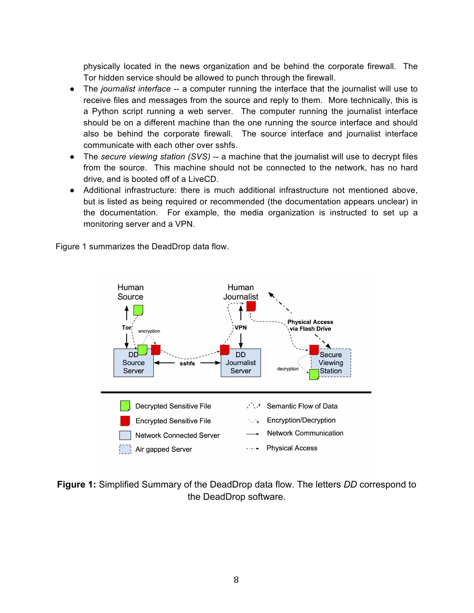physically located in the news organization and be behind the corporate firewall. The Tor hidden service should be allowed to punch through the firewall.

- The *journalist interface* -- a computer running the interface that the journalist will use to receive files and messages from the source and reply to them. More technically, this is a Python script running a web server. The computer running the journalist interface should be on a different machine than the one running the source interface and should also be behind the corporate firewall. The source interface and journalist interface communicate with each other over sshfs.
- The *secure viewing station (SVS)* -- a machine that the journalist will use to decrypt files from the source. This machine should not be connected to the network, has no hard drive, and is booted off of a LiveCD.
- Additional infrastructure: there is much additional infrastructure not mentioned above, but is listed as being required or recommended (the documentation appears unclear) in the documentation. For example, the media organization is instructed to set up a monitoring server and a VPN.

Figure 1 summarizes the DeadDrop data flow.



**Figure 1:** Simplified Summary of the DeadDrop data flow. The letters *DD* correspond to the DeadDrop software.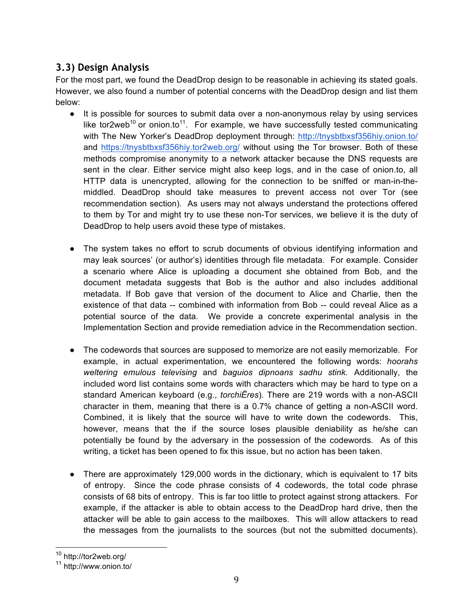### **3.3) Design Analysis**

For the most part, we found the DeadDrop design to be reasonable in achieving its stated goals. However, we also found a number of potential concerns with the DeadDrop design and list them below:

- It is possible for sources to submit data over a non-anonymous relay by using services like tor2web<sup>10</sup> or onion.to<sup>11</sup>. For example, we have successfully tested communicating with The New Yorker's DeadDrop deployment through: http://tnysbtbxsf356hiy.onion.to/ and https://tnysbtbxsf356hiy.tor2web.org/ without using the Tor browser. Both of these methods compromise anonymity to a network attacker because the DNS requests are sent in the clear. Either service might also keep logs, and in the case of onion.to, all HTTP data is unencrypted, allowing for the connection to be sniffed or man-in-themiddled. DeadDrop should take measures to prevent access not over Tor (see recommendation section). As users may not always understand the protections offered to them by Tor and might try to use these non-Tor services, we believe it is the duty of DeadDrop to help users avoid these type of mistakes.
- The system takes no effort to scrub documents of obvious identifying information and may leak sources' (or author's) identities through file metadata. For example. Consider a scenario where Alice is uploading a document she obtained from Bob, and the document metadata suggests that Bob is the author and also includes additional metadata. If Bob gave that version of the document to Alice and Charlie, then the existence of that data -- combined with information from Bob -- could reveal Alice as a potential source of the data. We provide a concrete experimental analysis in the Implementation Section and provide remediation advice in the Recommendation section.
- The codewords that sources are supposed to memorize are not easily memorizable. For example, in actual experimentation, we encountered the following words: *hoorahs weltering emulous televising* and *baguios dipnoans sadhu stink.* Additionally, the included word list contains some words with characters which may be hard to type on a standard American keyboard (e.g., *torchiËres*). There are 219 words with a non-ASCII character in them, meaning that there is a 0.7% chance of getting a non-ASCII word. Combined, it is likely that the source will have to write down the codewords. This, however, means that the if the source loses plausible deniability as he/she can potentially be found by the adversary in the possession of the codewords. As of this writing, a ticket has been opened to fix this issue, but no action has been taken.
- There are approximately 129,000 words in the dictionary, which is equivalent to 17 bits of entropy. Since the code phrase consists of 4 codewords, the total code phrase consists of 68 bits of entropy. This is far too little to protect against strong attackers. For example, if the attacker is able to obtain access to the DeadDrop hard drive, then the attacker will be able to gain access to the mailboxes. This will allow attackers to read the messages from the journalists to the sources (but not the submitted documents).

 

<sup>10</sup> http://tor2web.org/

<sup>11</sup> http://www.onion.to/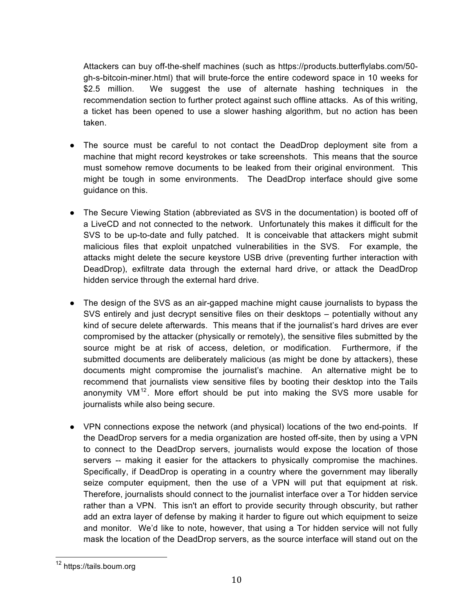Attackers can buy off-the-shelf machines (such as https://products.butterflylabs.com/50 gh-s-bitcoin-miner.html) that will brute-force the entire codeword space in 10 weeks for \$2.5 million. We suggest the use of alternate hashing techniques in the recommendation section to further protect against such offline attacks. As of this writing, a ticket has been opened to use a slower hashing algorithm, but no action has been taken.

- The source must be careful to not contact the DeadDrop deployment site from a machine that might record keystrokes or take screenshots. This means that the source must somehow remove documents to be leaked from their original environment. This might be tough in some environments. The DeadDrop interface should give some guidance on this.
- The Secure Viewing Station (abbreviated as SVS in the documentation) is booted off of a LiveCD and not connected to the network. Unfortunately this makes it difficult for the SVS to be up-to-date and fully patched. It is conceivable that attackers might submit malicious files that exploit unpatched vulnerabilities in the SVS. For example, the attacks might delete the secure keystore USB drive (preventing further interaction with DeadDrop), exfiltrate data through the external hard drive, or attack the DeadDrop hidden service through the external hard drive.
- The design of the SVS as an air-gapped machine might cause journalists to bypass the SVS entirely and just decrypt sensitive files on their desktops – potentially without any kind of secure delete afterwards. This means that if the journalist's hard drives are ever compromised by the attacker (physically or remotely), the sensitive files submitted by the source might be at risk of access, deletion, or modification. Furthermore, if the submitted documents are deliberately malicious (as might be done by attackers), these documents might compromise the journalist's machine. An alternative might be to recommend that journalists view sensitive files by booting their desktop into the Tails anonymity  $VM^{12}$ . More effort should be put into making the SVS more usable for journalists while also being secure.
- VPN connections expose the network (and physical) locations of the two end-points. If the DeadDrop servers for a media organization are hosted off-site, then by using a VPN to connect to the DeadDrop servers, journalists would expose the location of those servers -- making it easier for the attackers to physically compromise the machines. Specifically, if DeadDrop is operating in a country where the government may liberally seize computer equipment, then the use of a VPN will put that equipment at risk. Therefore, journalists should connect to the journalist interface over a Tor hidden service rather than a VPN. This isn't an effort to provide security through obscurity, but rather add an extra layer of defense by making it harder to figure out which equipment to seize and monitor. We'd like to note, however, that using a Tor hidden service will not fully mask the location of the DeadDrop servers, as the source interface will stand out on the

 <sup>12</sup> https://tails.boum.org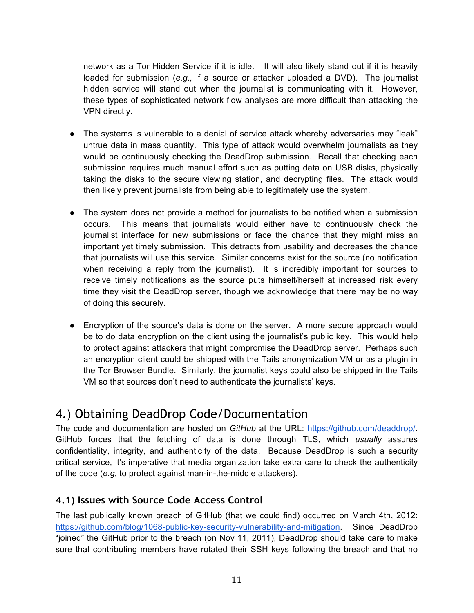network as a Tor Hidden Service if it is idle. It will also likely stand out if it is heavily loaded for submission (*e.g.,* if a source or attacker uploaded a DVD). The journalist hidden service will stand out when the journalist is communicating with it. However, these types of sophisticated network flow analyses are more difficult than attacking the VPN directly.

- The systems is vulnerable to a denial of service attack whereby adversaries may "leak" untrue data in mass quantity. This type of attack would overwhelm journalists as they would be continuously checking the DeadDrop submission. Recall that checking each submission requires much manual effort such as putting data on USB disks, physically taking the disks to the secure viewing station, and decrypting files. The attack would then likely prevent journalists from being able to legitimately use the system.
- The system does not provide a method for journalists to be notified when a submission occurs. This means that journalists would either have to continuously check the journalist interface for new submissions or face the chance that they might miss an important yet timely submission. This detracts from usability and decreases the chance that journalists will use this service. Similar concerns exist for the source (no notification when receiving a reply from the journalist). It is incredibly important for sources to receive timely notifications as the source puts himself/herself at increased risk every time they visit the DeadDrop server, though we acknowledge that there may be no way of doing this securely.
- Encryption of the source's data is done on the server. A more secure approach would be to do data encryption on the client using the journalist's public key. This would help to protect against attackers that might compromise the DeadDrop server. Perhaps such an encryption client could be shipped with the Tails anonymization VM or as a plugin in the Tor Browser Bundle. Similarly, the journalist keys could also be shipped in the Tails VM so that sources don't need to authenticate the journalists' keys.

### 4.) Obtaining DeadDrop Code/Documentation

The code and documentation are hosted on *GitHub* at the URL: https://github.com/deaddrop/. GitHub forces that the fetching of data is done through TLS, which *usually* assures confidentiality, integrity, and authenticity of the data. Because DeadDrop is such a security critical service, it's imperative that media organization take extra care to check the authenticity of the code (*e.g,* to protect against man-in-the-middle attackers).

#### **4.1) Issues with Source Code Access Control**

The last publically known breach of GitHub (that we could find) occurred on March 4th, 2012: https://github.com/blog/1068-public-key-security-vulnerability-and-mitigation. Since DeadDrop "joined" the GitHub prior to the breach (on Nov 11, 2011), DeadDrop should take care to make sure that contributing members have rotated their SSH keys following the breach and that no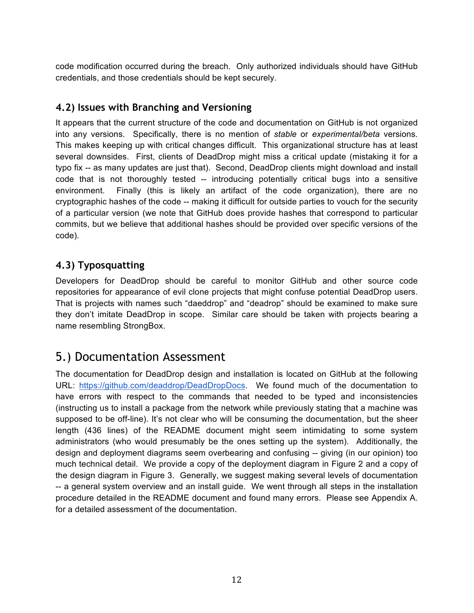code modification occurred during the breach. Only authorized individuals should have GitHub credentials, and those credentials should be kept securely.

#### **4.2) Issues with Branching and Versioning**

It appears that the current structure of the code and documentation on GitHub is not organized into any versions. Specifically, there is no mention of *stable* or *experimental/beta* versions. This makes keeping up with critical changes difficult. This organizational structure has at least several downsides. First, clients of DeadDrop might miss a critical update (mistaking it for a typo fix -- as many updates are just that). Second, DeadDrop clients might download and install code that is not thoroughly tested -- introducing potentially critical bugs into a sensitive environment. Finally (this is likely an artifact of the code organization), there are no cryptographic hashes of the code -- making it difficult for outside parties to vouch for the security of a particular version (we note that GitHub does provide hashes that correspond to particular commits, but we believe that additional hashes should be provided over specific versions of the code).

#### **4.3) Typosquatting**

Developers for DeadDrop should be careful to monitor GitHub and other source code repositories for appearance of evil clone projects that might confuse potential DeadDrop users. That is projects with names such "daeddrop" and "deadrop" should be examined to make sure they don't imitate DeadDrop in scope. Similar care should be taken with projects bearing a name resembling StrongBox.

### 5.) Documentation Assessment

The documentation for DeadDrop design and installation is located on GitHub at the following URL: https://github.com/deaddrop/DeadDropDocs. We found much of the documentation to have errors with respect to the commands that needed to be typed and inconsistencies (instructing us to install a package from the network while previously stating that a machine was supposed to be off-line). It's not clear who will be consuming the documentation, but the sheer length (436 lines) of the README document might seem intimidating to some system administrators (who would presumably be the ones setting up the system). Additionally, the design and deployment diagrams seem overbearing and confusing -- giving (in our opinion) too much technical detail. We provide a copy of the deployment diagram in Figure 2 and a copy of the design diagram in Figure 3. Generally, we suggest making several levels of documentation -- a general system overview and an install guide. We went through all steps in the installation procedure detailed in the README document and found many errors. Please see Appendix A. for a detailed assessment of the documentation.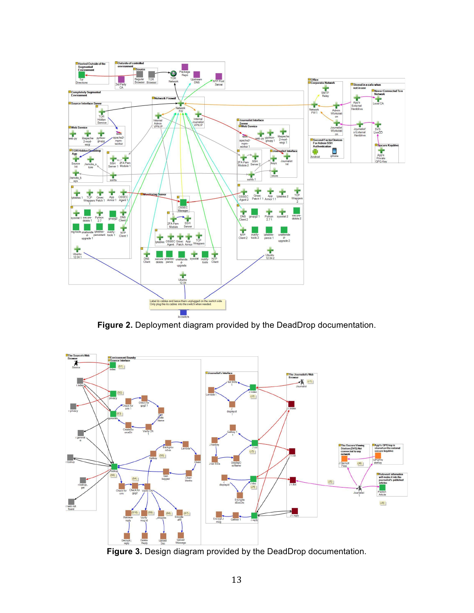

**Figure 2.** Deployment diagram provided by the DeadDrop documentation.



**Figure 3.** Design diagram provided by the DeadDrop documentation.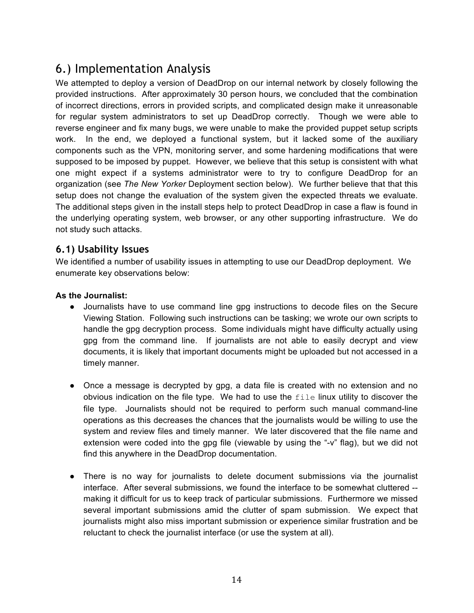### 6.) Implementation Analysis

We attempted to deploy a version of DeadDrop on our internal network by closely following the provided instructions. After approximately 30 person hours, we concluded that the combination of incorrect directions, errors in provided scripts, and complicated design make it unreasonable for regular system administrators to set up DeadDrop correctly. Though we were able to reverse engineer and fix many bugs, we were unable to make the provided puppet setup scripts work. In the end, we deployed a functional system, but it lacked some of the auxiliary components such as the VPN, monitoring server, and some hardening modifications that were supposed to be imposed by puppet. However, we believe that this setup is consistent with what one might expect if a systems administrator were to try to configure DeadDrop for an organization (see *The New Yorker* Deployment section below). We further believe that that this setup does not change the evaluation of the system given the expected threats we evaluate. The additional steps given in the install steps help to protect DeadDrop in case a flaw is found in the underlying operating system, web browser, or any other supporting infrastructure. We do not study such attacks.

#### **6.1) Usability Issues**

We identified a number of usability issues in attempting to use our DeadDrop deployment. We enumerate key observations below:

#### **As the Journalist:**

- Journalists have to use command line gpg instructions to decode files on the Secure Viewing Station. Following such instructions can be tasking; we wrote our own scripts to handle the gpg decryption process. Some individuals might have difficulty actually using gpg from the command line. If journalists are not able to easily decrypt and view documents, it is likely that important documents might be uploaded but not accessed in a timely manner.
- Once a message is decrypted by gpg, a data file is created with no extension and no obvious indication on the file type. We had to use the  $file$  linux utility to discover the file type. Journalists should not be required to perform such manual command-line operations as this decreases the chances that the journalists would be willing to use the system and review files and timely manner. We later discovered that the file name and extension were coded into the gpg file (viewable by using the "-v" flag), but we did not find this anywhere in the DeadDrop documentation.
- There is no way for journalists to delete document submissions via the journalist interface. After several submissions, we found the interface to be somewhat cluttered - making it difficult for us to keep track of particular submissions. Furthermore we missed several important submissions amid the clutter of spam submission. We expect that journalists might also miss important submission or experience similar frustration and be reluctant to check the journalist interface (or use the system at all).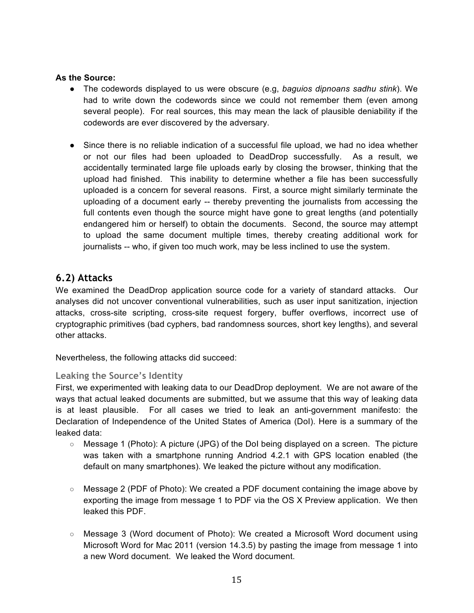#### **As the Source:**

- The codewords displayed to us were obscure (e.g, *baguios dipnoans sadhu stink*). We had to write down the codewords since we could not remember them (even among several people). For real sources, this may mean the lack of plausible deniability if the codewords are ever discovered by the adversary.
- Since there is no reliable indication of a successful file upload, we had no idea whether or not our files had been uploaded to DeadDrop successfully. As a result, we accidentally terminated large file uploads early by closing the browser, thinking that the upload had finished. This inability to determine whether a file has been successfully uploaded is a concern for several reasons. First, a source might similarly terminate the uploading of a document early -- thereby preventing the journalists from accessing the full contents even though the source might have gone to great lengths (and potentially endangered him or herself) to obtain the documents. Second, the source may attempt to upload the same document multiple times, thereby creating additional work for journalists -- who, if given too much work, may be less inclined to use the system.

#### **6.2) Attacks**

We examined the DeadDrop application source code for a variety of standard attacks. Our analyses did not uncover conventional vulnerabilities, such as user input sanitization, injection attacks, cross-site scripting, cross-site request forgery, buffer overflows, incorrect use of cryptographic primitives (bad cyphers, bad randomness sources, short key lengths), and several other attacks.

Nevertheless, the following attacks did succeed:

#### **Leaking the Source's Identity**

First, we experimented with leaking data to our DeadDrop deployment. We are not aware of the ways that actual leaked documents are submitted, but we assume that this way of leaking data is at least plausible. For all cases we tried to leak an anti-government manifesto: the Declaration of Independence of the United States of America (DoI). Here is a summary of the leaked data:

- Message 1 (Photo): A picture (JPG) of the DoI being displayed on a screen. The picture was taken with a smartphone running Andriod 4.2.1 with GPS location enabled (the default on many smartphones). We leaked the picture without any modification.
- Message 2 (PDF of Photo): We created a PDF document containing the image above by exporting the image from message 1 to PDF via the OS X Preview application. We then leaked this PDF.
- Message 3 (Word document of Photo): We created a Microsoft Word document using Microsoft Word for Mac 2011 (version 14.3.5) by pasting the image from message 1 into a new Word document. We leaked the Word document.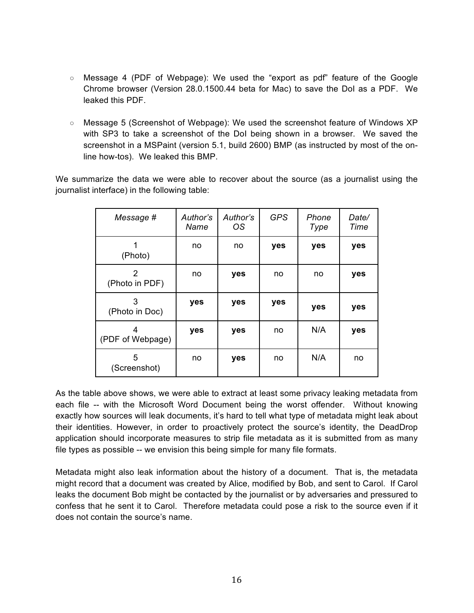- Message 4 (PDF of Webpage): We used the "export as pdf" feature of the Google Chrome browser (Version 28.0.1500.44 beta for Mac) to save the DoI as a PDF. We leaked this PDF.
- Message 5 (Screenshot of Webpage): We used the screenshot feature of Windows XP with SP3 to take a screenshot of the DoI being shown in a browser. We saved the screenshot in a MSPaint (version 5.1, build 2600) BMP (as instructed by most of the online how-tos). We leaked this BMP.

We summarize the data we were able to recover about the source (as a journalist using the journalist interface) in the following table:

| Message #             | Author's<br>Name | Author's<br>OS | <b>GPS</b> | Phone<br>Type | Date/<br>Time |
|-----------------------|------------------|----------------|------------|---------------|---------------|
| (Photo)               | no               | no             | yes        | yes           | yes           |
| 2<br>(Photo in PDF)   | no               | yes            | no         | no            | yes           |
| 3<br>(Photo in Doc)   | yes              | yes            | yes        | yes           | yes           |
| 4<br>(PDF of Webpage) | yes              | yes            | no         | N/A           | yes           |
| 5<br>(Screenshot)     | no               | yes            | no         | N/A           | no            |

As the table above shows, we were able to extract at least some privacy leaking metadata from each file -- with the Microsoft Word Document being the worst offender. Without knowing exactly how sources will leak documents, it's hard to tell what type of metadata might leak about their identities. However, in order to proactively protect the source's identity, the DeadDrop application should incorporate measures to strip file metadata as it is submitted from as many file types as possible -- we envision this being simple for many file formats.

Metadata might also leak information about the history of a document. That is, the metadata might record that a document was created by Alice, modified by Bob, and sent to Carol. If Carol leaks the document Bob might be contacted by the journalist or by adversaries and pressured to confess that he sent it to Carol. Therefore metadata could pose a risk to the source even if it does not contain the source's name.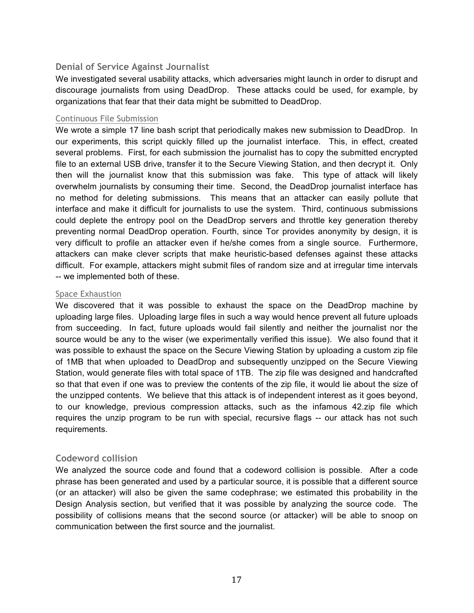#### **Denial of Service Against Journalist**

We investigated several usability attacks, which adversaries might launch in order to disrupt and discourage journalists from using DeadDrop. These attacks could be used, for example, by organizations that fear that their data might be submitted to DeadDrop.

#### Continuous File Submission

We wrote a simple 17 line bash script that periodically makes new submission to DeadDrop. In our experiments, this script quickly filled up the journalist interface. This, in effect, created several problems. First, for each submission the journalist has to copy the submitted encrypted file to an external USB drive, transfer it to the Secure Viewing Station, and then decrypt it. Only then will the journalist know that this submission was fake. This type of attack will likely overwhelm journalists by consuming their time. Second, the DeadDrop journalist interface has no method for deleting submissions. This means that an attacker can easily pollute that interface and make it difficult for journalists to use the system. Third, continuous submissions could deplete the entropy pool on the DeadDrop servers and throttle key generation thereby preventing normal DeadDrop operation. Fourth, since Tor provides anonymity by design, it is very difficult to profile an attacker even if he/she comes from a single source. Furthermore, attackers can make clever scripts that make heuristic-based defenses against these attacks difficult. For example, attackers might submit files of random size and at irregular time intervals -- we implemented both of these.

#### Space Exhaustion

We discovered that it was possible to exhaust the space on the DeadDrop machine by uploading large files. Uploading large files in such a way would hence prevent all future uploads from succeeding. In fact, future uploads would fail silently and neither the journalist nor the source would be any to the wiser (we experimentally verified this issue). We also found that it was possible to exhaust the space on the Secure Viewing Station by uploading a custom zip file of 1MB that when uploaded to DeadDrop and subsequently unzipped on the Secure Viewing Station, would generate files with total space of 1TB. The zip file was designed and handcrafted so that that even if one was to preview the contents of the zip file, it would lie about the size of the unzipped contents. We believe that this attack is of independent interest as it goes beyond, to our knowledge, previous compression attacks, such as the infamous 42.zip file which requires the unzip program to be run with special, recursive flags -- our attack has not such requirements.

#### **Codeword collision**

We analyzed the source code and found that a codeword collision is possible. After a code phrase has been generated and used by a particular source, it is possible that a different source (or an attacker) will also be given the same codephrase; we estimated this probability in the Design Analysis section, but verified that it was possible by analyzing the source code. The possibility of collisions means that the second source (or attacker) will be able to snoop on communication between the first source and the journalist.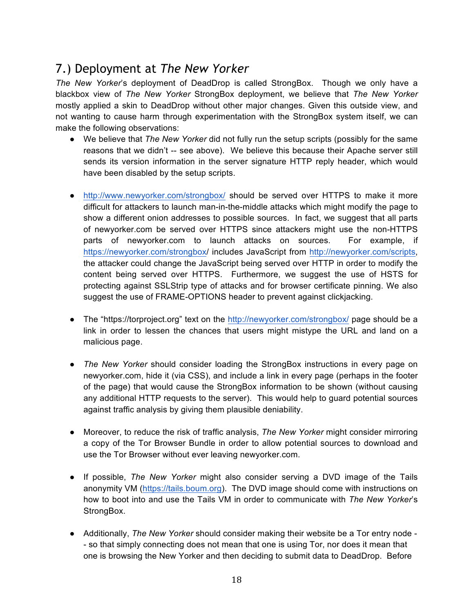### 7.) Deployment at *The New Yorker*

*The New Yorker*'s deployment of DeadDrop is called StrongBox. Though we only have a blackbox view of *The New Yorker* StrongBox deployment, we believe that *The New Yorker* mostly applied a skin to DeadDrop without other major changes. Given this outside view, and not wanting to cause harm through experimentation with the StrongBox system itself, we can make the following observations:

- We believe that *The New Yorker* did not fully run the setup scripts (possibly for the same reasons that we didn't -- see above). We believe this because their Apache server still sends its version information in the server signature HTTP reply header, which would have been disabled by the setup scripts.
- http://www.newyorker.com/strongbox/ should be served over HTTPS to make it more difficult for attackers to launch man-in-the-middle attacks which might modify the page to show a different onion addresses to possible sources. In fact, we suggest that all parts of newyorker.com be served over HTTPS since attackers might use the non-HTTPS parts of newyorker.com to launch attacks on sources. For example, if https://newyorker.com/strongbox/ includes JavaScript from http://newyorker.com/scripts, the attacker could change the JavaScript being served over HTTP in order to modify the content being served over HTTPS. Furthermore, we suggest the use of HSTS for protecting against SSLStrip type of attacks and for browser certificate pinning. We also suggest the use of FRAME-OPTIONS header to prevent against clickjacking.
- The "https://torproject.org" text on the http://newyorker.com/strongbox/ page should be a link in order to lessen the chances that users might mistype the URL and land on a malicious page.
- *The New Yorker* should consider loading the StrongBox instructions in every page on newyorker.com, hide it (via CSS), and include a link in every page (perhaps in the footer of the page) that would cause the StrongBox information to be shown (without causing any additional HTTP requests to the server). This would help to guard potential sources against traffic analysis by giving them plausible deniability.
- Moreover, to reduce the risk of traffic analysis, *The New Yorker* might consider mirroring a copy of the Tor Browser Bundle in order to allow potential sources to download and use the Tor Browser without ever leaving newyorker.com.
- If possible, *The New Yorker* might also consider serving a DVD image of the Tails anonymity VM (https://tails.boum.org). The DVD image should come with instructions on how to boot into and use the Tails VM in order to communicate with *The New Yorker*'s StrongBox.
- Additionally, *The New Yorker* should consider making their website be a Tor entry node - so that simply connecting does not mean that one is using Tor, nor does it mean that one is browsing the New Yorker and then deciding to submit data to DeadDrop. Before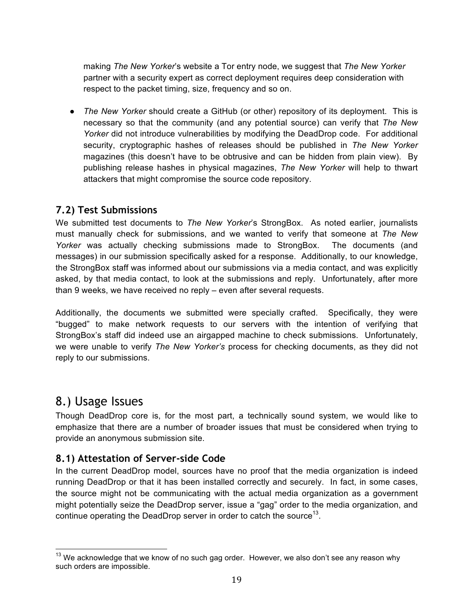making *The New Yorker*'s website a Tor entry node, we suggest that *The New Yorker* partner with a security expert as correct deployment requires deep consideration with respect to the packet timing, size, frequency and so on.

● *The New Yorker* should create a GitHub (or other) repository of its deployment. This is necessary so that the community (and any potential source) can verify that *The New Yorker* did not introduce vulnerabilities by modifying the DeadDrop code. For additional security, cryptographic hashes of releases should be published in *The New Yorker* magazines (this doesn't have to be obtrusive and can be hidden from plain view). By publishing release hashes in physical magazines, *The New Yorker* will help to thwart attackers that might compromise the source code repository.

#### **7.2) Test Submissions**

We submitted test documents to *The New Yorker*'s StrongBox. As noted earlier, journalists must manually check for submissions, and we wanted to verify that someone at *The New Yorker* was actually checking submissions made to StrongBox. The documents (and messages) in our submission specifically asked for a response. Additionally, to our knowledge, the StrongBox staff was informed about our submissions via a media contact, and was explicitly asked, by that media contact, to look at the submissions and reply. Unfortunately, after more than 9 weeks, we have received no reply – even after several requests.

Additionally, the documents we submitted were specially crafted. Specifically, they were "bugged" to make network requests to our servers with the intention of verifying that StrongBox's staff did indeed use an airgapped machine to check submissions. Unfortunately, we were unable to verify *The New Yorker's* process for checking documents, as they did not reply to our submissions.

### 8.) Usage Issues

Though DeadDrop core is, for the most part, a technically sound system, we would like to emphasize that there are a number of broader issues that must be considered when trying to provide an anonymous submission site.

#### **8.1) Attestation of Server-side Code**

In the current DeadDrop model, sources have no proof that the media organization is indeed running DeadDrop or that it has been installed correctly and securely. In fact, in some cases, the source might not be communicating with the actual media organization as a government might potentially seize the DeadDrop server, issue a "gag" order to the media organization, and continue operating the DeadDrop server in order to catch the source<sup>13</sup>.

 $13$  We acknowledge that we know of no such gag order. However, we also don't see any reason why such orders are impossible.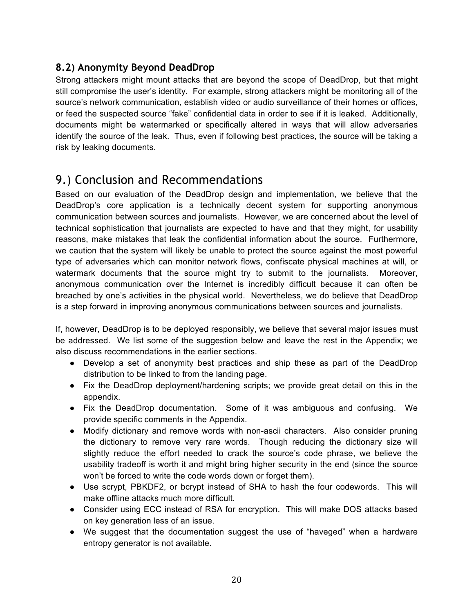#### **8.2) Anonymity Beyond DeadDrop**

Strong attackers might mount attacks that are beyond the scope of DeadDrop, but that might still compromise the user's identity. For example, strong attackers might be monitoring all of the source's network communication, establish video or audio surveillance of their homes or offices, or feed the suspected source "fake" confidential data in order to see if it is leaked. Additionally, documents might be watermarked or specifically altered in ways that will allow adversaries identify the source of the leak. Thus, even if following best practices, the source will be taking a risk by leaking documents.

### 9.) Conclusion and Recommendations

Based on our evaluation of the DeadDrop design and implementation, we believe that the DeadDrop's core application is a technically decent system for supporting anonymous communication between sources and journalists. However, we are concerned about the level of technical sophistication that journalists are expected to have and that they might, for usability reasons, make mistakes that leak the confidential information about the source. Furthermore, we caution that the system will likely be unable to protect the source against the most powerful type of adversaries which can monitor network flows, confiscate physical machines at will, or watermark documents that the source might try to submit to the journalists. Moreover, anonymous communication over the Internet is incredibly difficult because it can often be breached by one's activities in the physical world. Nevertheless, we do believe that DeadDrop is a step forward in improving anonymous communications between sources and journalists.

If, however, DeadDrop is to be deployed responsibly, we believe that several major issues must be addressed. We list some of the suggestion below and leave the rest in the Appendix; we also discuss recommendations in the earlier sections.

- Develop a set of anonymity best practices and ship these as part of the DeadDrop distribution to be linked to from the landing page.
- Fix the DeadDrop deployment/hardening scripts; we provide great detail on this in the appendix.
- Fix the DeadDrop documentation. Some of it was ambiguous and confusing. We provide specific comments in the Appendix.
- Modify dictionary and remove words with non-ascii characters. Also consider pruning the dictionary to remove very rare words. Though reducing the dictionary size will slightly reduce the effort needed to crack the source's code phrase, we believe the usability tradeoff is worth it and might bring higher security in the end (since the source won't be forced to write the code words down or forget them).
- Use scrypt, PBKDF2, or bcrypt instead of SHA to hash the four codewords. This will make offline attacks much more difficult.
- Consider using ECC instead of RSA for encryption. This will make DOS attacks based on key generation less of an issue.
- We suggest that the documentation suggest the use of "haveged" when a hardware entropy generator is not available.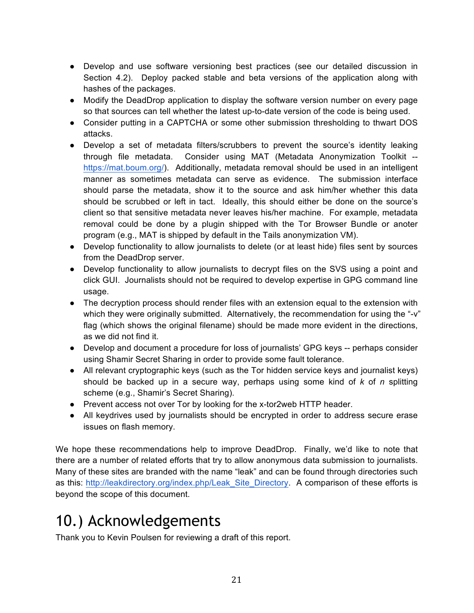- Develop and use software versioning best practices (see our detailed discussion in Section 4.2). Deploy packed stable and beta versions of the application along with hashes of the packages.
- Modify the DeadDrop application to display the software version number on every page so that sources can tell whether the latest up-to-date version of the code is being used.
- Consider putting in a CAPTCHA or some other submission thresholding to thwart DOS attacks.
- Develop a set of metadata filters/scrubbers to prevent the source's identity leaking through file metadata. Consider using MAT (Metadata Anonymization Toolkit - https://mat.boum.org/). Additionally, metadata removal should be used in an intelligent manner as sometimes metadata can serve as evidence. The submission interface should parse the metadata, show it to the source and ask him/her whether this data should be scrubbed or left in tact. Ideally, this should either be done on the source's client so that sensitive metadata never leaves his/her machine. For example, metadata removal could be done by a plugin shipped with the Tor Browser Bundle or anoter program (e.g., MAT is shipped by default in the Tails anonymization VM).
- Develop functionality to allow journalists to delete (or at least hide) files sent by sources from the DeadDrop server.
- Develop functionality to allow journalists to decrypt files on the SVS using a point and click GUI. Journalists should not be required to develop expertise in GPG command line usage.
- The decryption process should render files with an extension equal to the extension with which they were originally submitted. Alternatively, the recommendation for using the "-v" flag (which shows the original filename) should be made more evident in the directions, as we did not find it.
- Develop and document a procedure for loss of journalists' GPG keys -- perhaps consider using Shamir Secret Sharing in order to provide some fault tolerance.
- All relevant cryptographic keys (such as the Tor hidden service keys and journalist keys) should be backed up in a secure way, perhaps using some kind of *k* of *n* splitting scheme (e.g., Shamir's Secret Sharing).
- Prevent access not over Tor by looking for the x-tor2web HTTP header.
- All keydrives used by journalists should be encrypted in order to address secure erase issues on flash memory.

We hope these recommendations help to improve DeadDrop. Finally, we'd like to note that there are a number of related efforts that try to allow anonymous data submission to journalists. Many of these sites are branded with the name "leak" and can be found through directories such as this: http://leakdirectory.org/index.php/Leak\_Site\_Directory. A comparison of these efforts is beyond the scope of this document.

# 10.) Acknowledgements

Thank you to Kevin Poulsen for reviewing a draft of this report.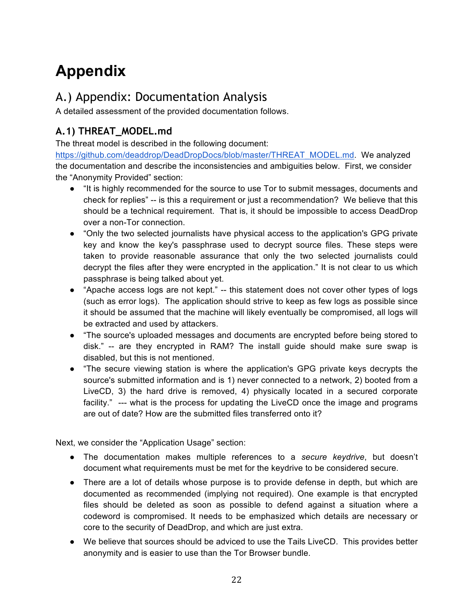# **Appendix**

### A.) Appendix: Documentation Analysis

A detailed assessment of the provided documentation follows.

### **A.1) THREAT\_MODEL.md**

The threat model is described in the following document:

https://github.com/deaddrop/DeadDropDocs/blob/master/THREAT\_MODEL.md. We analyzed the documentation and describe the inconsistencies and ambiguities below. First, we consider the "Anonymity Provided" section:

- "It is highly recommended for the source to use Tor to submit messages, documents and check for replies" -- is this a requirement or just a recommendation? We believe that this should be a technical requirement. That is, it should be impossible to access DeadDrop over a non-Tor connection.
- "Only the two selected journalists have physical access to the application's GPG private key and know the key's passphrase used to decrypt source files. These steps were taken to provide reasonable assurance that only the two selected journalists could decrypt the files after they were encrypted in the application." It is not clear to us which passphrase is being talked about yet.
- "Apache access logs are not kept." -- this statement does not cover other types of logs (such as error logs). The application should strive to keep as few logs as possible since it should be assumed that the machine will likely eventually be compromised, all logs will be extracted and used by attackers.
- "The source's uploaded messages and documents are encrypted before being stored to disk." -- are they encrypted in RAM? The install guide should make sure swap is disabled, but this is not mentioned.
- "The secure viewing station is where the application's GPG private keys decrypts the source's submitted information and is 1) never connected to a network, 2) booted from a LiveCD, 3) the hard drive is removed, 4) physically located in a secured corporate facility." --- what is the process for updating the LiveCD once the image and programs are out of date? How are the submitted files transferred onto it?

Next, we consider the "Application Usage" section:

- The documentation makes multiple references to a *secure keydrive*, but doesn't document what requirements must be met for the keydrive to be considered secure.
- There are a lot of details whose purpose is to provide defense in depth, but which are documented as recommended (implying not required). One example is that encrypted files should be deleted as soon as possible to defend against a situation where a codeword is compromised. It needs to be emphasized which details are necessary or core to the security of DeadDrop, and which are just extra.
- We believe that sources should be adviced to use the Tails LiveCD. This provides better anonymity and is easier to use than the Tor Browser bundle.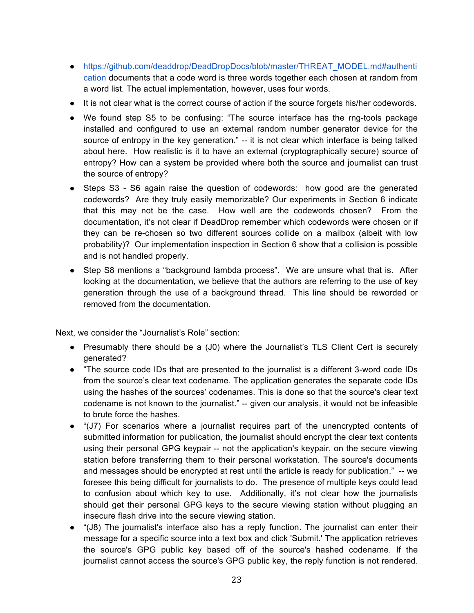- https://github.com/deaddrop/DeadDropDocs/blob/master/THREAT\_MODEL.md#authenti cation documents that a code word is three words together each chosen at random from a word list. The actual implementation, however, uses four words.
- It is not clear what is the correct course of action if the source forgets his/her codewords.
- We found step S5 to be confusing: "The source interface has the rng-tools package installed and configured to use an external random number generator device for the source of entropy in the key generation." -- it is not clear which interface is being talked about here. How realistic is it to have an external (cryptographically secure) source of entropy? How can a system be provided where both the source and journalist can trust the source of entropy?
- Steps S3 S6 again raise the question of codewords: how good are the generated codewords? Are they truly easily memorizable? Our experiments in Section 6 indicate that this may not be the case. How well are the codewords chosen? From the documentation, it's not clear if DeadDrop remember which codewords were chosen or if they can be re-chosen so two different sources collide on a mailbox (albeit with low probability)? Our implementation inspection in Section 6 show that a collision is possible and is not handled properly.
- Step S8 mentions a "background lambda process". We are unsure what that is. After looking at the documentation, we believe that the authors are referring to the use of key generation through the use of a background thread. This line should be reworded or removed from the documentation.

Next, we consider the "Journalist's Role" section:

- Presumably there should be a (J0) where the Journalist's TLS Client Cert is securely generated?
- "The source code IDs that are presented to the journalist is a different 3-word code IDs from the source's clear text codename. The application generates the separate code IDs using the hashes of the sources' codenames. This is done so that the source's clear text codename is not known to the journalist." -- given our analysis, it would not be infeasible to brute force the hashes.
- "(J7) For scenarios where a journalist requires part of the unencrypted contents of submitted information for publication, the journalist should encrypt the clear text contents using their personal GPG keypair -- not the application's keypair, on the secure viewing station before transferring them to their personal workstation. The source's documents and messages should be encrypted at rest until the article is ready for publication." -- we foresee this being difficult for journalists to do. The presence of multiple keys could lead to confusion about which key to use. Additionally, it's not clear how the journalists should get their personal GPG keys to the secure viewing station without plugging an insecure flash drive into the secure viewing station.
- "(J8) The journalist's interface also has a reply function. The journalist can enter their message for a specific source into a text box and click 'Submit.' The application retrieves the source's GPG public key based off of the source's hashed codename. If the journalist cannot access the source's GPG public key, the reply function is not rendered.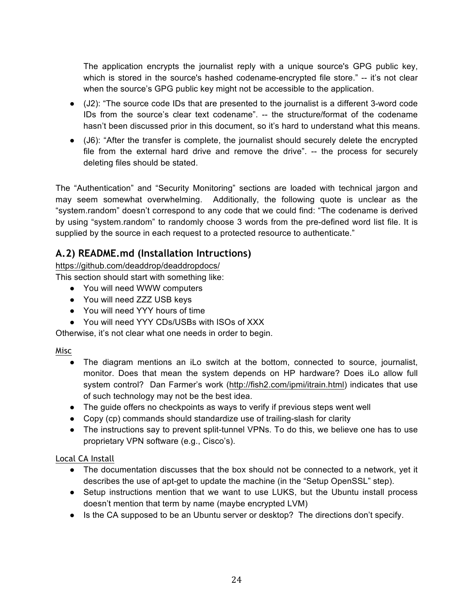The application encrypts the journalist reply with a unique source's GPG public key, which is stored in the source's hashed codename-encrypted file store." -- it's not clear when the source's GPG public key might not be accessible to the application.

- (J2): "The source code IDs that are presented to the journalist is a different 3-word code IDs from the source's clear text codename". -- the structure/format of the codename hasn't been discussed prior in this document, so it's hard to understand what this means.
- (J6): "After the transfer is complete, the journalist should securely delete the encrypted file from the external hard drive and remove the drive". -- the process for securely deleting files should be stated.

The "Authentication" and "Security Monitoring" sections are loaded with technical jargon and may seem somewhat overwhelming. Additionally, the following quote is unclear as the "system.random" doesn't correspond to any code that we could find: "The codename is derived by using "system.random" to randomly choose 3 words from the pre-defined word list file. It is supplied by the source in each request to a protected resource to authenticate."

#### **A.2) README.md (Installation Intructions)**

https://github.com/deaddrop/deaddropdocs/

This section should start with something like:

- You will need WWW computers
- You will need ZZZ USB keys
- You will need YYY hours of time
- You will need YYY CDs/USBs with ISOs of XXX

Otherwise, it's not clear what one needs in order to begin.

#### Misc

- The diagram mentions an iLo switch at the bottom, connected to source, journalist, monitor. Does that mean the system depends on HP hardware? Does iLo allow full system control? Dan Farmer's work (http://fish2.com/ipmi/itrain.html) indicates that use of such technology may not be the best idea.
- The guide offers no checkpoints as ways to verify if previous steps went well
- Copy (cp) commands should standardize use of trailing-slash for clarity
- The instructions say to prevent split-tunnel VPNs. To do this, we believe one has to use proprietary VPN software (e.g., Cisco's).

#### Local CA Install

- The documentation discusses that the box should not be connected to a network, yet it describes the use of apt-get to update the machine (in the "Setup OpenSSL" step).
- Setup instructions mention that we want to use LUKS, but the Ubuntu install process doesn't mention that term by name (maybe encrypted LVM)
- Is the CA supposed to be an Ubuntu server or desktop? The directions don't specify.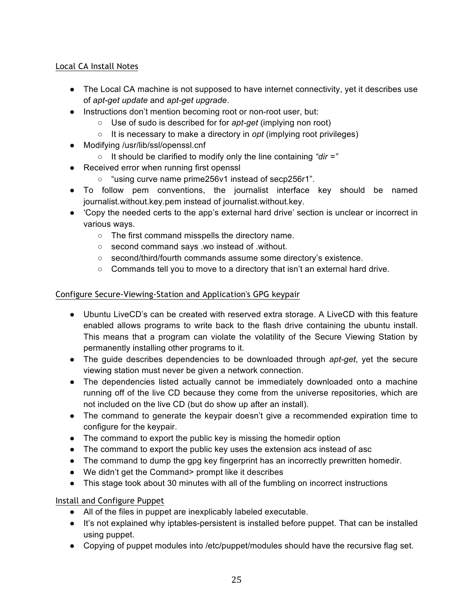#### Local CA Install Notes

- The Local CA machine is not supposed to have internet connectivity, yet it describes use of *apt-get update* and *apt-get upgrade*.
- Instructions don't mention becoming root or non-root user, but:
	- Use of sudo is described for for *apt-get* (implying non root)
		- It is necessary to make a directory in *opt* (implying root privileges)
- Modifying /usr/lib/ssl/openssl.cnf
	- It should be clarified to modify only the line containing *"dir ="*
- Received error when running first openssl
	- "using curve name prime256v1 instead of secp256r1".
- To follow pem conventions, the journalist interface key should be named journalist.without.key.pem instead of journalist.without.key.
- 'Copy the needed certs to the app's external hard drive' section is unclear or incorrect in various ways.
	- The first command misspells the directory name.
	- second command says .wo instead of .without.
	- second/third/fourth commands assume some directory's existence.
	- $\circ$  Commands tell you to move to a directory that isn't an external hard drive.

#### Configure Secure-Viewing-Station and Application's GPG keypair

- Ubuntu LiveCD's can be created with reserved extra storage. A LiveCD with this feature enabled allows programs to write back to the flash drive containing the ubuntu install. This means that a program can violate the volatility of the Secure Viewing Station by permanently installing other programs to it.
- The guide describes dependencies to be downloaded through *apt-get*, yet the secure viewing station must never be given a network connection.
- The dependencies listed actually cannot be immediately downloaded onto a machine running off of the live CD because they come from the universe repositories, which are not included on the live CD (but do show up after an install).
- The command to generate the keypair doesn't give a recommended expiration time to configure for the keypair.
- The command to export the public key is missing the homedir option
- The command to export the public key uses the extension acs instead of asc
- The command to dump the gpg key fingerprint has an incorrectly prewritten homedir.
- We didn't get the Command> prompt like it describes
- This stage took about 30 minutes with all of the fumbling on incorrect instructions

#### Install and Configure Puppet

- All of the files in puppet are inexplicably labeled executable.
- It's not explained why iptables-persistent is installed before puppet. That can be installed using puppet.
- Copying of puppet modules into /etc/puppet/modules should have the recursive flag set.